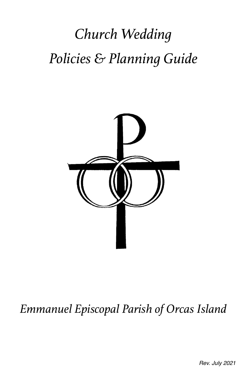# *Church Wedding Policies & Planning Guide*



# *Emmanuel Episcopal Parish of Orcas Island*

*Rev. July 2021*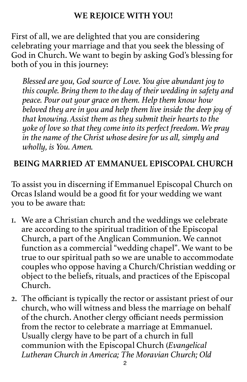## **WE REJOICE WITH YOU!**

First of all, we are delighted that you are considering celebrating your marriage and that you seek the blessing of God in Church. We want to begin by asking God's blessing for both of you in this journey:

*Blessed are you, God source of Love. You give abundant joy to this couple. Bring them to the day of their wedding in safety and peace. Pour out your grace on them. Help them know how beloved they are in you and help them live inside the deep joy of that knowing. Assist them as they submit their hearts to the yoke of love so that they come into its perfect freedom. We pray in the name of the Christ whose desire for us all, simply and wholly, is You. Amen.*

## **BEING MARRIED AT EMMANUEL EPISCOPAL CHURCH**

To assist you in discerning if Emmanuel Episcopal Church on Orcas Island would be a good fit for your wedding we want you to be aware that:

- 1. We are a Christian church and the weddings we celebrate are according to the spiritual tradition of the Episcopal Church, a part of the Anglican Communion. We cannot function as a commercial "wedding chapel". We want to be true to our spiritual path so we are unable to accommodate couples who oppose having a Church/Christian wedding or object to the beliefs, rituals, and practices of the Episcopal Church.
- 2. The officiant is typically the rector or assistant priest of our church, who will witness and bless the marriage on behalf of the church. Another clergy officiant needs permission from the rector to celebrate a marriage at Emmanuel. Usually clergy have to be part of a church in full communion with the Episcopal Church (*Evangelical Lutheran Church in America; The Moravian Church; Old*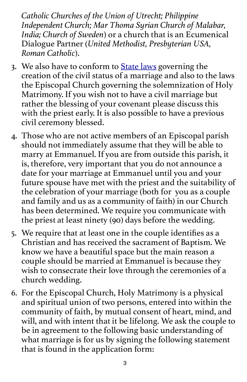*Catholic Churches of the Union of Utrecht; Philippine Independent Church; Mar Thoma Syrian Church of Malabar, India; Church of Sweden*) or a church that is an Ecumenical Dialogue Partner (*United Methodist, Presbyterian USA, Roman Catholic*).

- 3. We also have to conform to **[State laws](http://www.sanjuanco.com/176/Marriage-Licenses)** governing the creation of the civil status of a marriage and also to the laws the Episcopal Church governing the solemnization of Holy Matrimony. If you wish not to have a civil marriage but rather the blessing of your covenant please discuss this with the priest early. It is also possible to have a previous civil ceremony blessed.
- 4. Those who are not active members of an Episcopal parish should not immediately assume that they will be able to marry at Emmanuel. If you are from outside this parish, it is, therefore, very important that you do not announce a date for your marriage at Emmanuel until you and your future spouse have met with the priest and the suitability of the celebration of your marriage (both for you as a couple and family and us as a community of faith) in our Church has been determined. We require you communicate with the priest at least ninety (90) days before the wedding.
- 5. We require that at least one in the couple identifies as a Christian and has received the sacrament of Baptism. We know we have a beautiful space but the main reason a couple should be married at Emmanuel is because they wish to consecrate their love through the ceremonies of a church wedding.
- 6. For the Episcopal Church, Holy Matrimony is a physical and spiritual union of two persons, entered into within the community of faith, by mutual consent of heart, mind, and will, and with intent that it be lifelong. We ask the couple to be in agreement to the following basic understanding of what marriage is for us by signing the following statement that is found in the application form: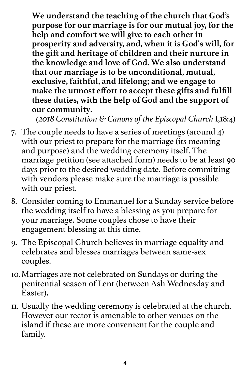**We understand the teaching of the church that God's purpose for our marriage is for our mutual joy, for the help and comfort we will give to each other in prosperity and adversity, and, when it is God's will, for the gift and heritage of children and their nurture in the knowledge and love of God. We also understand that our marriage is to be unconditional, mutual, exclusive, faithful, and lifelong; and we engage to make the utmost effort to accept these gifts and fulfill these duties, with the help of God and the support of our community.** 

*(2018 Constitution & Canons of the Episcopal Church* I,18:4)

- 7. The couple needs to have a series of meetings (around 4) with our priest to prepare for the marriage (its meaning and purpose) and the wedding ceremony itself. The marriage petition (see attached form) needs to be at least 90 days prior to the desired wedding date. Before committing with vendors please make sure the marriage is possible with our priest.
- 8. Consider coming to Emmanuel for a Sunday service before the wedding itself to have a blessing as you prepare for your marriage. Some couples chose to have their engagement blessing at this time.
- 9. The Episcopal Church believes in marriage equality and celebrates and blesses marriages between same-sex couples.
- 10.Marriages are not celebrated on Sundays or during the penitential season of Lent (between Ash Wednesday and Easter).
- 11. Usually the wedding ceremony is celebrated at the church. However our rector is amenable to other venues on the island if these are more convenient for the couple and family.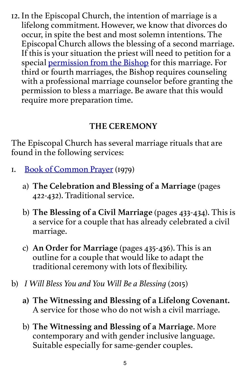12. In the Episcopal Church, the intention of marriage is a lifelong commitment. However, we know that divorces do occur, in spite the best and most solemn intentions. The Episcopal Church allows the blessing of a second marriage. If this is your situation the priest will need to petition for a special [permission from the Bishop](https://resources.ecww.org/sites/default/files/resources/RemarriagePetitions_0.pdf) for this marriage. For third or fourth marriages, the Bishop requires counseling with a professional marriage counselor before granting the permission to bless a marriage. Be aware that this would require more preparation time.

# **THE CEREMONY**

The Episcopal Church has several marriage rituals that are found in the following services:

- 1. [Book of Common Prayer](https://www.episcopalchurch.org/files/book_of_common_prayer.pdf) (1979)
	- a) **The Celebration and Blessing of a Marriage** (pages 422-432). Traditional service.
	- b) **The Blessing of a Civil Marriage** (pages 433-434). This is a service for a couple that has already celebrated a civil marriage.
	- c) **An Order for Marriage** (pages 435-436). This is an outline for a couple that would like to adapt the traditional ceremony with lots of flexibility.
- b) *I Will Bless You and You Will Be a Blessing* (2015)
	- **a) The Witnessing and Blessing of a Lifelong Covenant.** A service for those who do not wish a civil marriage.
	- b) **The Witnessing and Blessing of a Marriage**. More contemporary and with gender inclusive language. Suitable especially for same-gender couples.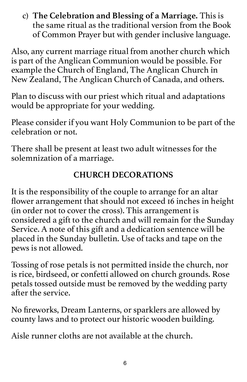c) **The Celebration and Blessing of a Marriage.** This is the same ritual as the traditional version from the Book of Common Prayer but with gender inclusive language.

Also, any current marriage ritual from another church which is part of the Anglican Communion would be possible. For example the Church of England, The Anglican Church in New Zealand, The Anglican Church of Canada, and others.

Plan to discuss with our priest which ritual and adaptations would be appropriate for your wedding.

Please consider if you want Holy Communion to be part of the celebration or not.

There shall be present at least two adult witnesses for the solemnization of a marriage.

# **CHURCH DECORATIONS**

It is the responsibility of the couple to arrange for an altar flower arrangement that should not exceed 16 inches in height (in order not to cover the cross). This arrangement is considered a gift to the church and will remain for the Sunday Service. A note of this gift and a dedication sentence will be placed in the Sunday bulletin. Use of tacks and tape on the pews is not allowed.

Tossing of rose petals is not permitted inside the church, nor is rice, birdseed, or confetti allowed on church grounds. Rose petals tossed outside must be removed by the wedding party after the service.

No fireworks, Dream Lanterns, or sparklers are allowed by county laws and to protect our historic wooden building.

Aisle runner cloths are not available at the church.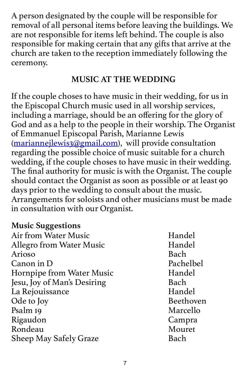A person designated by the couple will be responsible for removal of all personal items before leaving the buildings. We are not responsible for items left behind. The couple is also responsible for making certain that any gifts that arrive at the church are taken to the reception immediately following the ceremony.

#### **MUSIC AT THE WEDDING**

If the couple choses to have music in their wedding, for us in the Episcopal Church music used in all worship services, including a marriage, should be an offering for the glory of God and as a help to the people in their worship. The Organist of Emmanuel Episcopal Parish, Marianne Lewis [\(mariannejlewis3@gmail.com](mailto:mariannejlewis3@gmail.com)), will provide consultation regarding the possible choice of music suitable for a church wedding, if the couple choses to have music in their wedding. The final authority for music is with the Organist. The couple should contact the Organist as soon as possible or at least 90 days prior to the wedding to consult about the music. Arrangements for soloists and other musicians must be made in consultation with our Organist.

#### **Music Suggestions**

Air from Water Music **Handel** Allegro from Water Music Handel Arioso Bach Canon in D Pachelbel Hornpipe from Water Music Handel Jesu, Joy of Man's Desiring Bach La Rejouissance Handel Ode to Joy Beethoven Psalm 19 Marcello Rigaudon Campra Rondeau Mouret Sheep May Safely Graze Bach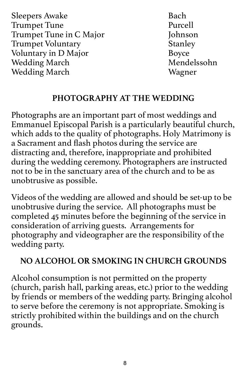Sleepers Awake Bach **Trumpet Tune** Trumpet Tune in C Major Johnson Trumpet Voluntary Stanley Voluntary in D Major Boyce Wedding March Mendelssohn Wedding March Wagner

## **PHOTOGRAPHY AT THE WEDDING**

Photographs are an important part of most weddings and Emmanuel Episcopal Parish is a particularly beautiful church, which adds to the quality of photographs. Holy Matrimony is a Sacrament and flash photos during the service are distracting and, therefore, inappropriate and prohibited during the wedding ceremony. Photographers are instructed not to be in the sanctuary area of the church and to be as unobtrusive as possible.

Videos of the wedding are allowed and should be set-up to be unobtrusive during the service. All photographs must be completed 45 minutes before the beginning of the service in consideration of arriving guests. Arrangements for photography and videographer are the responsibility of the wedding party.

# **NO ALCOHOL OR SMOKING IN CHURCH GROUNDS**

Alcohol consumption is not permitted on the property (church, parish hall, parking areas, etc.) prior to the wedding by friends or members of the wedding party. Bringing alcohol to serve before the ceremony is not appropriate. Smoking is strictly prohibited within the buildings and on the church grounds.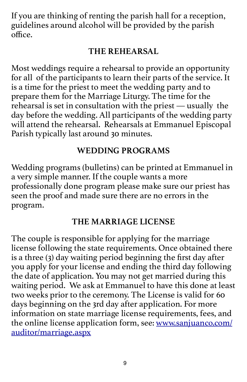If you are thinking of renting the parish hall for a reception, guidelines around alcohol will be provided by the parish office.

# **THE REHEARSAL**

Most weddings require a rehearsal to provide an opportunity for all of the participants to learn their parts of the service. It is a time for the priest to meet the wedding party and to prepare them for the Marriage Liturgy. The time for the rehearsal is set in consultation with the priest — usually the day before the wedding. All participants of the wedding party will attend the rehearsal. Rehearsals at Emmanuel Episcopal Parish typically last around 30 minutes.

# **WEDDING PROGRAMS**

Wedding programs (bulletins) can be printed at Emmanuel in a very simple manner. If the couple wants a more professionally done program please make sure our priest has seen the proof and made sure there are no errors in the program.

## **THE MARRIAGE LICENSE**

The couple is responsible for applying for the marriage license following the state requirements. Once obtained there is a three (3) day waiting period beginning the first day after you apply for your license and ending the third day following the date of application. You may not get married during this waiting period. We ask at Emmanuel to have this done at least two weeks prior to the ceremony. The License is valid for 60 days beginning on the 3rd day after application. For more information on state marriage license requirements, fees, and the online license application form, see: [www.sanjuanco.com/](http://www.sanjuanco.com/auditor/marriage.aspx) [auditor/marriage.aspx](http://www.sanjuanco.com/auditor/marriage.aspx)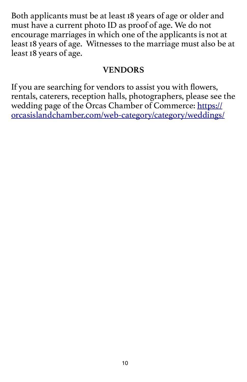Both applicants must be at least 18 years of age or older and must have a current photo ID as proof of age. We do not encourage marriages in which one of the applicants is not at least 18 years of age. Witnesses to the marriage must also be at least 18 years of age.

#### **VENDORS**

If you are searching for vendors to assist you with flowers, rentals, caterers, reception halls, photographers, please see the wedding page of the Orcas Chamber of Commerce: [https://](https://orcasislandchamber.com/web-category/category/weddings/) [orcasislandchamber.com/web-category/category/weddings/](https://orcasislandchamber.com/web-category/category/weddings/)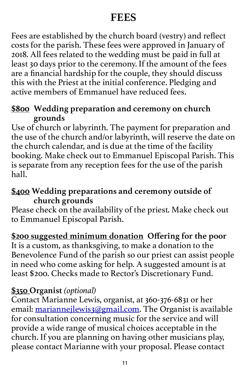# **FEES**

Fees are established by the church board (vestry) and reflect costs for the parish. These fees were approved in January of 2018. All fees related to the wedding must be paid in full at least 30 days prior to the ceremony. If the amount of the fees are a financial hardship for the couple, they should discuss this with the Priest at the initial conference. Pledging and active members of Emmanuel have reduced fees.

#### **\$800 Wedding preparation and ceremony on church grounds**

Use of church or labyrinth. The payment for preparation and the use of the church and/or labyrinth, will reserve the date on the church calendar, and is due at the time of the facility booking. Make check out to Emmanuel Episcopal Parish. This is separate from any reception fees for the use of the parish hall.

#### **\$400 Wedding preparations and ceremony outside of church grounds**

Please check on the availability of the priest. Make check out to Emmanuel Episcopal Parish.

## **\$200 suggested minimum donation Offering for the poor**

It is a custom, as thanksgiving, to make a donation to the Benevolence Fund of the parish so our priest can assist people in need who come asking for help. A suggested amount is at least \$200. Checks made to Rector's Discretionary Fund.

#### **\$350 Organist** *(optional)*

Contact Marianne Lewis, organist, at 360-376-6831 or her email: [mariannejlewis3@gmail.com.](mailto:mariannejlewis3@gmail.com) The Organist is available for consultation concerning music for the service and will provide a wide range of musical choices acceptable in the church. If you are planning on having other musicians play, please contact Marianne with your proposal. Please contact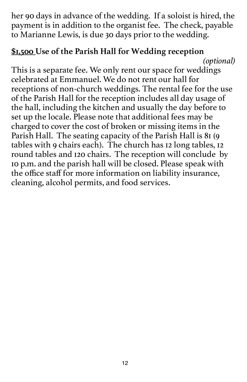her 90 days in advance of the wedding. If a soloist is hired, the payment is in addition to the organist fee. The check, payable to Marianne Lewis, is due 30 days prior to the wedding.

#### **\$1,500 Use of the Parish Hall for Wedding reception**

*(optional)* This is a separate fee. We only rent our space for weddings celebrated at Emmanuel. We do not rent our hall for receptions of non-church weddings. The rental fee for the use of the Parish Hall for the reception includes all day usage of the hall, including the kitchen and usually the day before to set up the locale. Please note that additional fees may be charged to cover the cost of broken or missing items in the Parish Hall. The seating capacity of the Parish Hall is 81 (9 tables with 9 chairs each). The church has 12 long tables, 12 round tables and 120 chairs. The reception will conclude by 10 p.m. and the parish hall will be closed. Please speak with the office staff for more information on liability insurance, cleaning, alcohol permits, and food services.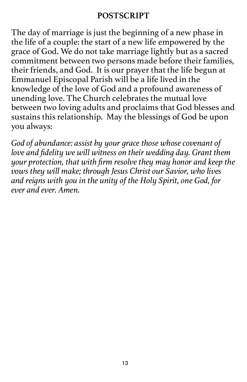#### **POSTSCRIPT**

The day of marriage is just the beginning of a new phase in the life of a couple: the start of a new life empowered by the grace of God. We do not take marriage lightly but as a sacred commitment between two persons made before their families, their friends, and God. It is our prayer that the life begun at Emmanuel Episcopal Parish will be a life lived in the knowledge of the love of God and a profound awareness of unending love. The Church celebrates the mutual love between two loving adults and proclaims that God blesses and sustains this relationship. May the blessings of God be upon you always:

*God of abundance: assist by your grace those whose covenant of love and fidelity we will witness on their wedding day. Grant them your protection, that with firm resolve they may honor and keep the vows they will make; through Jesus Christ our Savior, who lives and reigns with you in the unity of the Holy Spirit, one God, for ever and ever. Amen.*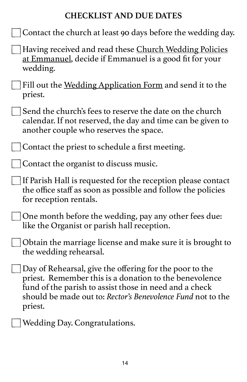## **CHECKLIST AND DUE DATES**

| Contact the church at least 90 days before the wedding day. |  |  |  |  |  |  |  |  |  |
|-------------------------------------------------------------|--|--|--|--|--|--|--|--|--|
|-------------------------------------------------------------|--|--|--|--|--|--|--|--|--|

- Having received and read these Church Wedding Policies at Emmanuel, decide if Emmanuel is a good fit for your wedding.
- Fill out the <u>Wedding Application Form</u> and send it to the priest.
- Send the church's fees to reserve the date on the church calendar. If not reserved, the day and time can be given to another couple who reserves the space.

Contact the priest to schedule a first meeting.

Contact the organist to discuss music.

If Parish Hall is requested for the reception please contact the office staff as soon as possible and follow the policies for reception rentals.

One month before the wedding, pay any other fees due: like the Organist or parish hall reception.

Obtain the marriage license and make sure it is brought to the wedding rehearsal.

- Day of Rehearsal, give the offering for the poor to the priest. Remember this is a donation to the benevolence fund of the parish to assist those in need and a check should be made out to: *Rector's Benevolence Fund* not to the priest.
	- Wedding Day. Congratulations.